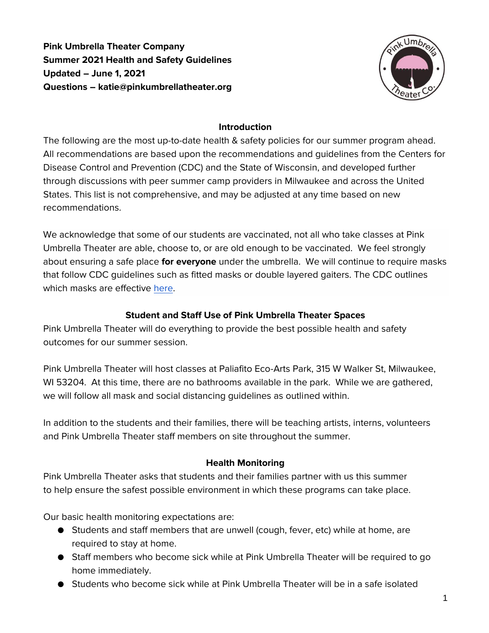**Pink Umbrella Theater Company Summer 2021 Health and Safety Guidelines Updated – June 1, 2021 Questions – katie@pinkumbrellatheater.org**



### **Introduction**

The following are the most up-to-date health & safety policies for our summer program ahead. All recommendations are based upon the recommendations and guidelines from the Centers for Disease Control and Prevention (CDC) and the State of Wisconsin, and developed further through discussions with peer summer camp providers in Milwaukee and across the United States. This list is not comprehensive, and may be adjusted at any time based on new recommendations.

We acknowledge that some of our students are vaccinated, not all who take classes at Pink Umbrella Theater are able, choose to, or are old enough to be vaccinated. We feel strongly about ensuring a safe place **for everyone** under the umbrella. We will continue to require masks that follow CDC guidelines such as fitted masks or double layered gaiters. The CDC outlines which masks are effective [here.](https://www.cdc.gov/coronavirus/2019-ncov/prevent-getting-sick/about-face-coverings.html)

## **Student and Staff Use of Pink Umbrella Theater Spaces**

Pink Umbrella Theater will do everything to provide the best possible health and safety outcomes for our summer session.

Pink Umbrella Theater will host classes at Paliafito Eco-Arts Park, 315 W Walker St, Milwaukee, WI 53204. At this time, there are no bathrooms available in the park. While we are gathered, we will follow all mask and social distancing guidelines as outlined within.

In addition to the students and their families, there will be teaching artists, interns, volunteers and Pink Umbrella Theater staff members on site throughout the summer.

## **Health Monitoring**

Pink Umbrella Theater asks that students and their families partner with us this summer to help ensure the safest possible environment in which these programs can take place.

Our basic health monitoring expectations are:

- Students and staff members that are unwell (cough, fever, etc) while at home, are required to stay at home.
- Staff members who become sick while at Pink Umbrella Theater will be required to go home immediately.
- Students who become sick while at Pink Umbrella Theater will be in a safe isolated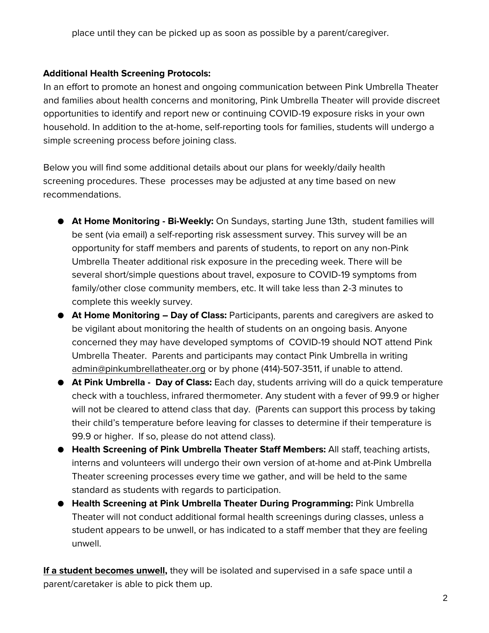place until they can be picked up as soon as possible by a parent/caregiver.

### **Additional Health Screening Protocols:**

In an effort to promote an honest and ongoing communication between Pink Umbrella Theater and families about health concerns and monitoring, Pink Umbrella Theater will provide discreet opportunities to identify and report new or continuing COVID-19 exposure risks in your own household. In addition to the at-home, self-reporting tools for families, students will undergo a simple screening process before joining class.

Below you will find some additional details about our plans for weekly/daily health screening procedures. These processes may be adjusted at any time based on new recommendations.

- **At Home Monitoring - Bi-Weekly:** On Sundays, starting June 13th, student families will be sent (via email) a self-reporting risk assessment survey. This survey will be an opportunity for staff members and parents of students, to report on any non-Pink Umbrella Theater additional risk exposure in the preceding week. There will be several short/simple questions about travel, exposure to COVID-19 symptoms from family/other close community members, etc. It will take less than 2-3 minutes to complete this weekly survey.
- **At Home Monitoring – Day of Class:** Participants, parents and caregivers are asked to be vigilant about monitoring the health of students on an ongoing basis. Anyone concerned they may have developed symptoms of COVID-19 should NOT attend Pink Umbrella Theater. Parents and participants may contact Pink Umbrella in writing [admin@pinkumbrellatheater.org](mailto:admin@pinkumbrellatheater.org) or by phone (414)-507-3511, if unable to attend.
- **At Pink Umbrella - Day of Class:** Each day, students arriving will do a quick temperature check with a touchless, infrared thermometer. Any student with a fever of 99.9 or higher will not be cleared to attend class that day. (Parents can support this process by taking their child's temperature before leaving for classes to determine if their temperature is 99.9 or higher. If so, please do not attend class).
- **Health Screening of Pink Umbrella Theater Staff Members:** All staff, teaching artists, interns and volunteers will undergo their own version of at-home and at-Pink Umbrella Theater screening processes every time we gather, and will be held to the same standard as students with regards to participation.
- **Health Screening at Pink Umbrella Theater During Programming:** Pink Umbrella Theater will not conduct additional formal health screenings during classes, unless a student appears to be unwell, or has indicated to a staff member that they are feeling unwell.

**If a student becomes unwell,** they will be isolated and supervised in a safe space until a parent/caretaker is able to pick them up.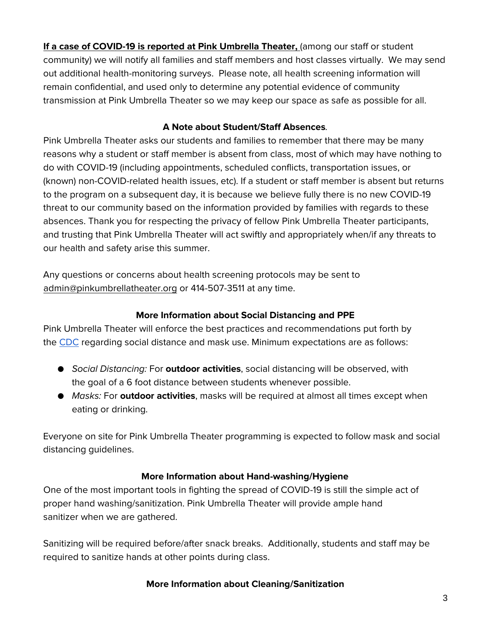If a case of COVID-19 is reported at Pink Umbrella Theater, (among our staff or student community) we will notify all families and staff members and host classes virtually. We may send out additional health-monitoring surveys. Please note, all health screening information will remain confidential, and used only to determine any potential evidence of community transmission at Pink Umbrella Theater so we may keep our space as safe as possible for all.

## **A Note about Student/Staff Absences***.*

Pink Umbrella Theater asks our students and families to remember that there may be many reasons why a student or staff member is absent from class, most of which may have nothing to do with COVID-19 (including appointments, scheduled conflicts, transportation issues, or (known) non-COVID-related health issues, etc). If a student or staff member is absent but returns to the program on a subsequent day, it is because we believe fully there is no new COVID-19 threat to our community based on the information provided by families with regards to these absences. Thank you for respecting the privacy of fellow Pink Umbrella Theater participants, and trusting that Pink Umbrella Theater will act swiftly and appropriately when/if any threats to our health and safety arise this summer.

Any questions or concerns about health screening protocols may be sent to [admin@pinkumbrellatheater.org](mailto:katie@pinkumbrellatheater.org) or 414-507-3511 at any time.

## **More Information about Social Distancing and PPE**

Pink Umbrella Theater will enforce the best practices and recommendations put forth by the [CDC](https://www.cdc.gov/coronavirus/2019-ncov/prevent-getting-sick/social-distancing.html) regarding social distance and mask use. Minimum expectations are as follows:

- *Social Distancing:* For **outdoor activities**, social distancing will be observed, with the goal of a 6 foot distance between students whenever possible.
- *Masks:* For **outdoor activities**, masks will be required at almost all times except when eating or drinking.

Everyone on site for Pink Umbrella Theater programming is expected to follow mask and social distancing guidelines.

# **More Information about Hand-washing/Hygiene**

One of the most important tools in fighting the spread of COVID-19 is still the simple act of proper hand washing/sanitization. Pink Umbrella Theater will provide ample hand sanitizer when we are gathered.

Sanitizing will be required before/after snack breaks. Additionally, students and staff may be required to sanitize hands at other points during class.

## **More Information about Cleaning/Sanitization**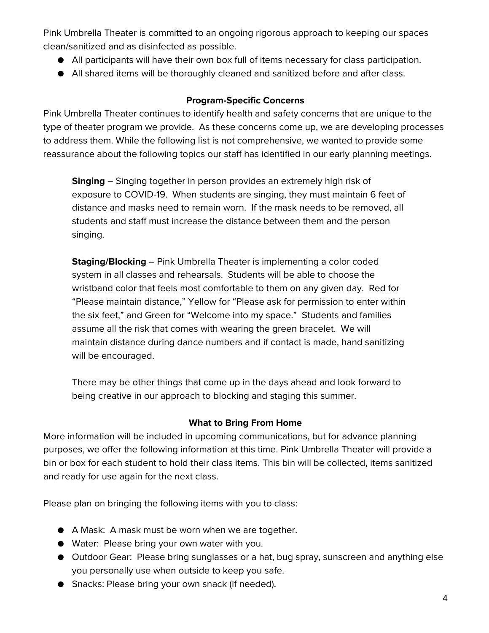Pink Umbrella Theater is committed to an ongoing rigorous approach to keeping our spaces clean/sanitized and as disinfected as possible.

- All participants will have their own box full of items necessary for class participation.
- All shared items will be thoroughly cleaned and sanitized before and after class.

### **Program-Specific Concerns**

Pink Umbrella Theater continues to identify health and safety concerns that are unique to the type of theater program we provide. As these concerns come up, we are developing processes to address them. While the following list is not comprehensive, we wanted to provide some reassurance about the following topics our staff has identified in our early planning meetings.

**Singing** – Singing together in person provides an extremely high risk of exposure to COVID-19. When students are singing, they must maintain 6 feet of distance and masks need to remain worn. If the mask needs to be removed, all students and staff must increase the distance between them and the person singing.

**Staging/Blocking** – Pink Umbrella Theater is implementing a color coded system in all classes and rehearsals. Students will be able to choose the wristband color that feels most comfortable to them on any given day. Red for "Please maintain distance," Yellow for "Please ask for permission to enter within the six feet," and Green for "Welcome into my space." Students and families assume all the risk that comes with wearing the green bracelet. We will maintain distance during dance numbers and if contact is made, hand sanitizing will be encouraged.

There may be other things that come up in the days ahead and look forward to being creative in our approach to blocking and staging this summer.

#### **What to Bring From Home**

More information will be included in upcoming communications, but for advance planning purposes, we offer the following information at this time. Pink Umbrella Theater will provide a bin or box for each student to hold their class items. This bin will be collected, items sanitized and ready for use again for the next class.

Please plan on bringing the following items with you to class:

- A Mask: A mask must be worn when we are together.
- Water: Please bring your own water with you.
- Outdoor Gear: Please bring sunglasses or a hat, bug spray, sunscreen and anything else you personally use when outside to keep you safe.
- Snacks: Please bring your own snack (if needed).